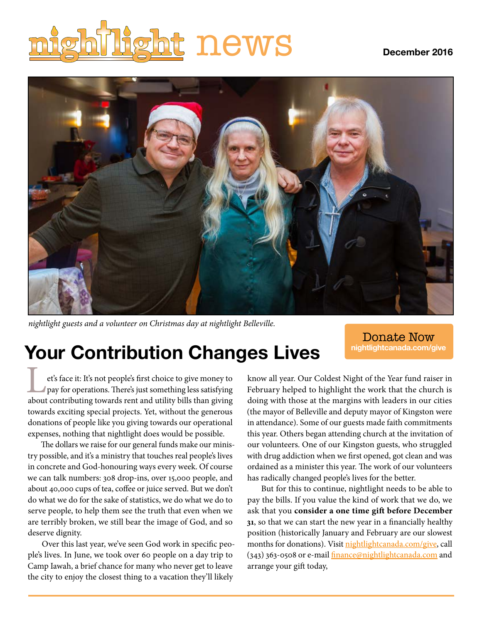# **ht** news December 2016



*nightlight guests and a volunteer on Christmas day at nightlight Belleville.*

### **Your Contribution Changes Lives**

Donate Now **nightlightcanada.com/give**

Even it: It's not people's first choice to give money to<br>pay for operations. There's just something less satisfying<br>about contributing towards rent and utility bills than giving pay for operations. There's just something less satisfying about contributing towards rent and utility bills than giving towards exciting special projects. Yet, without the generous donations of people like you giving towards our operational expenses, nothing that nightlight does would be possible.

The dollars we raise for our general funds make our ministry possible, and it's a ministry that touches real people's lives in concrete and God-honouring ways every week. Of course we can talk numbers: 308 drop-ins, over 15,000 people, and about 40,000 cups of tea, coffee or juice served. But we don't do what we do for the sake of statistics, we do what we do to serve people, to help them see the truth that even when we are terribly broken, we still bear the image of God, and so deserve dignity.

Over this last year, we've seen God work in specific people's lives. In June, we took over 60 people on a day trip to Camp Iawah, a brief chance for many who never get to leave the city to enjoy the closest thing to a vacation they'll likely

know all year. Our Coldest Night of the Year fund raiser in February helped to highlight the work that the church is doing with those at the margins with leaders in our cities (the mayor of Belleville and deputy mayor of Kingston were in attendance). Some of our guests made faith commitments this year. Others began attending church at the invitation of our volunteers. One of our Kingston guests, who struggled with drug addiction when we first opened, got clean and was ordained as a minister this year. The work of our volunteers has radically changed people's lives for the better.

But for this to continue, nightlight needs to be able to pay the bills. If you value the kind of work that we do, we ask that you **consider a one time gift before December 31**, so that we can start the new year in a financially healthy position (historically January and February are our slowest months for donations). Visit nightlightcanada.com/give, call (343) 363-0508 or e-mail *finance@nightlightcanada.com* and arrange your gift today,